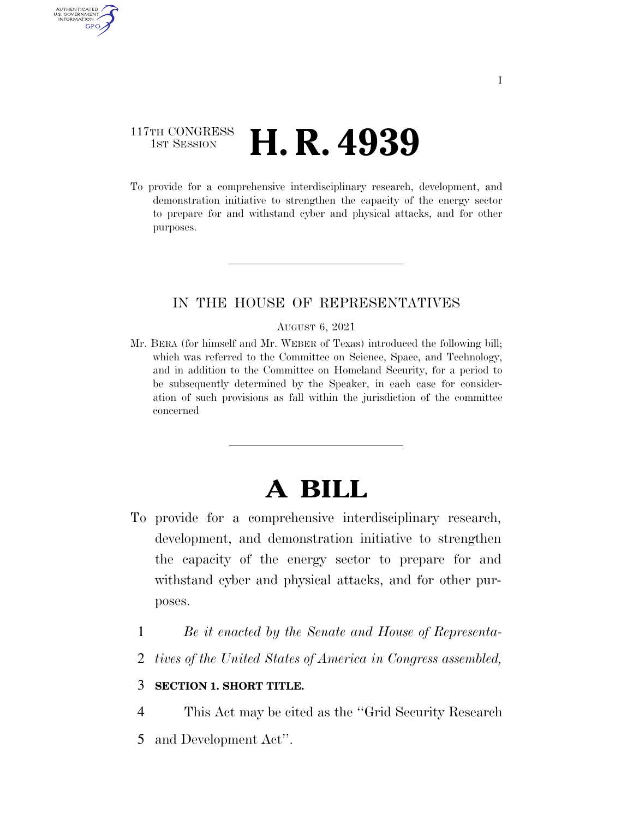### 117TH CONGRESS **HE CONGRESS H. R. 4939**

AUTHENTICATED U.S. GOVERNMENT **GPO** 

> To provide for a comprehensive interdisciplinary research, development, and demonstration initiative to strengthen the capacity of the energy sector to prepare for and withstand cyber and physical attacks, and for other purposes.

### IN THE HOUSE OF REPRESENTATIVES

#### AUGUST 6, 2021

Mr. BERA (for himself and Mr. WEBER of Texas) introduced the following bill; which was referred to the Committee on Science, Space, and Technology, and in addition to the Committee on Homeland Security, for a period to be subsequently determined by the Speaker, in each case for consideration of such provisions as fall within the jurisdiction of the committee concerned

# **A BILL**

- To provide for a comprehensive interdisciplinary research, development, and demonstration initiative to strengthen the capacity of the energy sector to prepare for and withstand cyber and physical attacks, and for other purposes.
	- 1 *Be it enacted by the Senate and House of Representa-*
	- 2 *tives of the United States of America in Congress assembled,*

### 3 **SECTION 1. SHORT TITLE.**

- 4 This Act may be cited as the ''Grid Security Research
- 5 and Development Act''.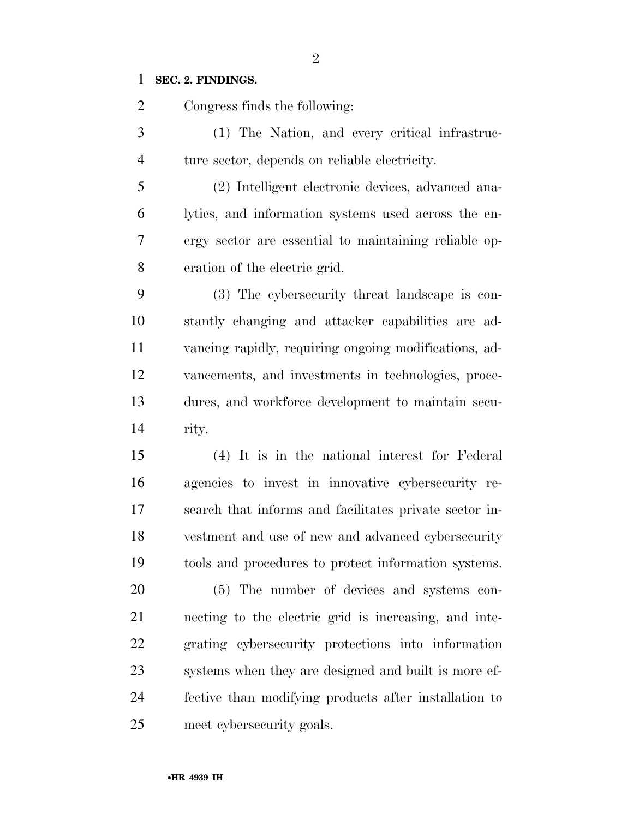### **SEC. 2. FINDINGS.**

 Congress finds the following: (1) The Nation, and every critical infrastruc- ture sector, depends on reliable electricity. (2) Intelligent electronic devices, advanced ana- lytics, and information systems used across the en- ergy sector are essential to maintaining reliable op- eration of the electric grid. (3) The cybersecurity threat landscape is con- stantly changing and attacker capabilities are ad- vancing rapidly, requiring ongoing modifications, ad- vancements, and investments in technologies, proce- dures, and workforce development to maintain secu- rity. (4) It is in the national interest for Federal agencies to invest in innovative cybersecurity re- search that informs and facilitates private sector in- vestment and use of new and advanced cybersecurity tools and procedures to protect information systems.

 (5) The number of devices and systems con- necting to the electric grid is increasing, and inte- grating cybersecurity protections into information systems when they are designed and built is more ef- fective than modifying products after installation to meet cybersecurity goals.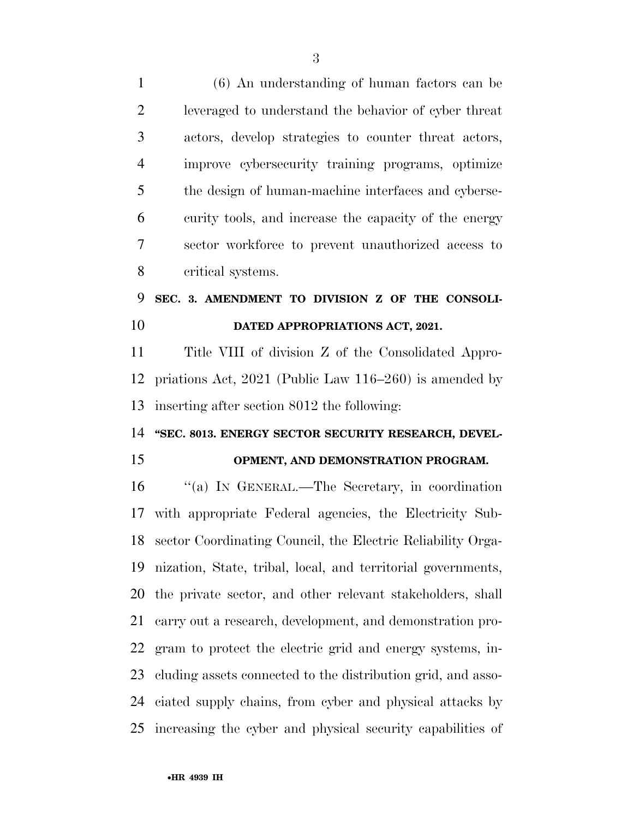(6) An understanding of human factors can be leveraged to understand the behavior of cyber threat actors, develop strategies to counter threat actors, improve cybersecurity training programs, optimize the design of human-machine interfaces and cyberse- curity tools, and increase the capacity of the energy sector workforce to prevent unauthorized access to critical systems. **SEC. 3. AMENDMENT TO DIVISION Z OF THE CONSOLI- DATED APPROPRIATIONS ACT, 2021.**  Title VIII of division Z of the Consolidated Appro- priations Act, 2021 (Public Law 116–260) is amended by inserting after section 8012 the following: **''SEC. 8013. ENERGY SECTOR SECURITY RESEARCH, DEVEL- OPMENT, AND DEMONSTRATION PROGRAM.**  ''(a) IN GENERAL.—The Secretary, in coordination with appropriate Federal agencies, the Electricity Sub- sector Coordinating Council, the Electric Reliability Orga- nization, State, tribal, local, and territorial governments, the private sector, and other relevant stakeholders, shall carry out a research, development, and demonstration pro- gram to protect the electric grid and energy systems, in- cluding assets connected to the distribution grid, and asso- ciated supply chains, from cyber and physical attacks by increasing the cyber and physical security capabilities of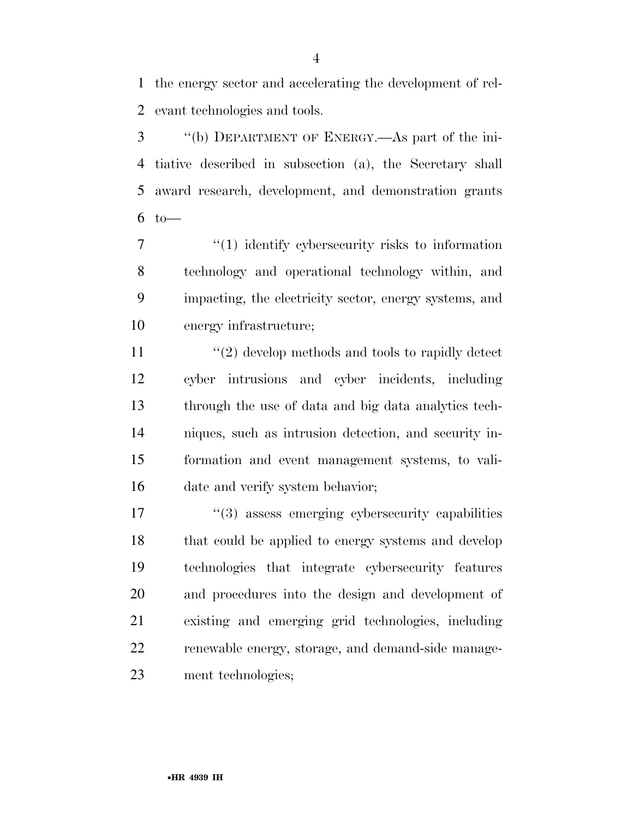the energy sector and accelerating the development of rel-evant technologies and tools.

 ''(b) DEPARTMENT OF ENERGY.—As part of the ini- tiative described in subsection (a), the Secretary shall award research, development, and demonstration grants to—

 $\frac{1}{1}$  identify cybersecurity risks to information technology and operational technology within, and impacting, the electricity sector, energy systems, and energy infrastructure;

11 ''(2) develop methods and tools to rapidly detect cyber intrusions and cyber incidents, including through the use of data and big data analytics tech- niques, such as intrusion detection, and security in- formation and event management systems, to vali-date and verify system behavior;

 $\frac{17}{2}$   $\frac{17}{2}$  assess emerging cybersecurity capabilities that could be applied to energy systems and develop technologies that integrate cybersecurity features and procedures into the design and development of existing and emerging grid technologies, including renewable energy, storage, and demand-side manage-ment technologies;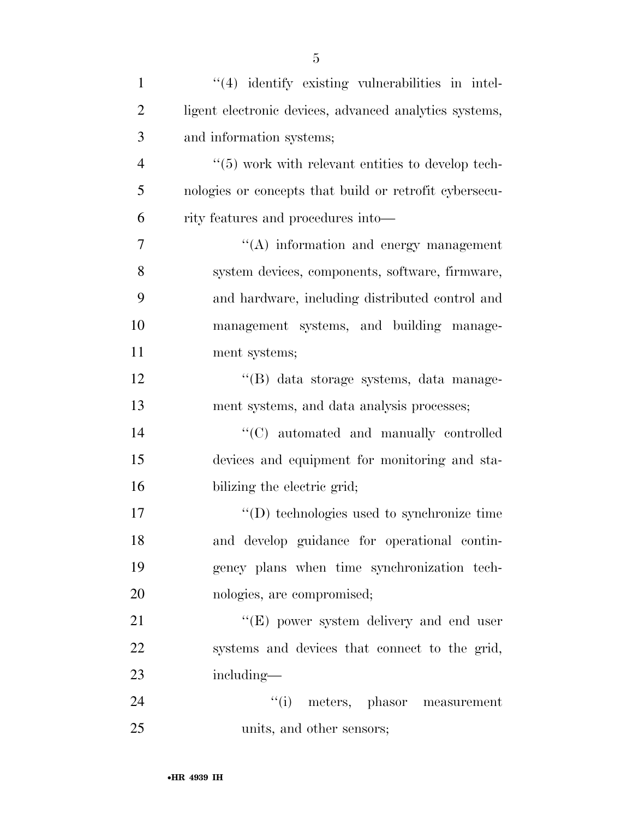| $\mathbf{1}$   | $\lq(4)$ identify existing vulnerabilities in intel-   |
|----------------|--------------------------------------------------------|
| $\overline{2}$ | ligent electronic devices, advanced analytics systems, |
| 3              | and information systems;                               |
| $\overline{4}$ | $\lq(5)$ work with relevant entities to develop tech-  |
| 5              | nologies or concepts that build or retrofit cybersecu- |
| 6              | rity features and procedures into-                     |
| 7              | $\lq\lq$ information and energy management             |
| 8              | system devices, components, software, firmware,        |
| 9              | and hardware, including distributed control and        |
| 10             | management systems, and building manage-               |
| 11             | ment systems;                                          |
| 12             | "(B) data storage systems, data manage-                |
| 13             | ment systems, and data analysis processes;             |
| 14             | "(C) automated and manually controlled                 |
| 15             | devices and equipment for monitoring and sta-          |
| 16             | bilizing the electric grid;                            |
| 17             | $\lq\lq$ technologies used to synchronize time         |
| 18             | and develop guidance for operational contin-           |
| 19             | gency plans when time synchronization tech-            |
| 20             | nologies, are compromised;                             |
| 21             | $\lq\lq(E)$ power system delivery and end user         |
| 22             | systems and devices that connect to the grid,          |
| 23             | including—                                             |
| 24             | "(i) meters, phasor measurement                        |
| 25             | units, and other sensors;                              |

5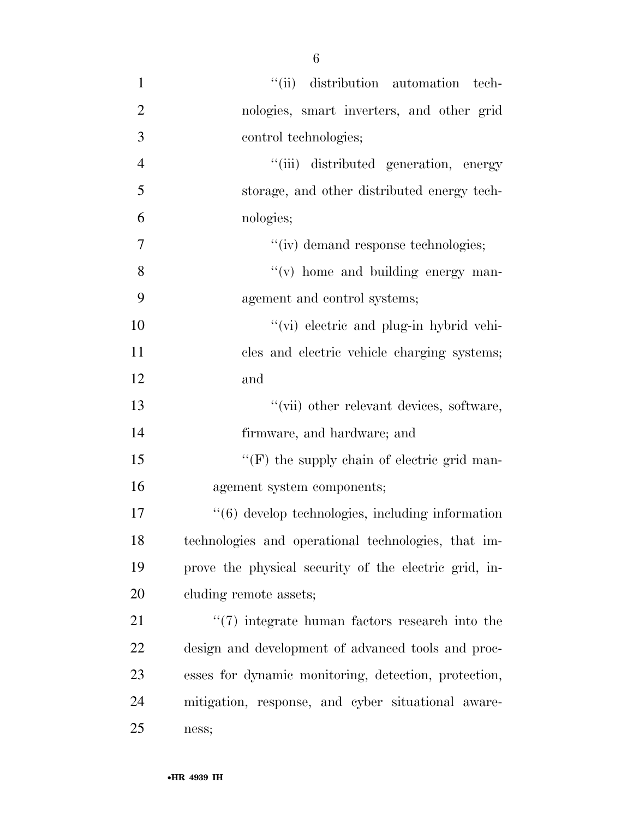$''(ii)$  distribution automation tech- nologies, smart inverters, and other grid control technologies; ''(iii) distributed generation, energy storage, and other distributed energy tech- nologies;  $''(iv)$  demand response technologies;  $''(v)$  home and building energy man- agement and control systems; ''(vi) electric and plug-in hybrid vehi- cles and electric vehicle charging systems; and ''(vii) other relevant devices, software, firmware, and hardware; and 15 "'(F) the supply chain of electric grid man- agement system components; ''(6) develop technologies, including information technologies and operational technologies, that im- prove the physical security of the electric grid, in-20 cluding remote assets; 21 ''(7) integrate human factors research into the design and development of advanced tools and proc- esses for dynamic monitoring, detection, protection, mitigation, response, and cyber situational aware-ness;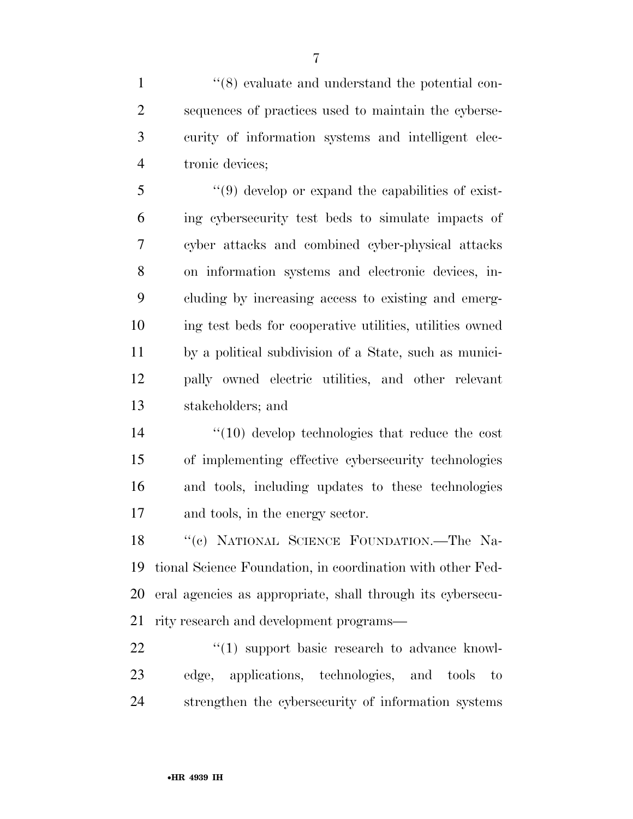1 ''(8) evaluate and understand the potential con- sequences of practices used to maintain the cyberse- curity of information systems and intelligent elec-tronic devices;

 ''(9) develop or expand the capabilities of exist- ing cybersecurity test beds to simulate impacts of cyber attacks and combined cyber-physical attacks on information systems and electronic devices, in- cluding by increasing access to existing and emerg- ing test beds for cooperative utilities, utilities owned by a political subdivision of a State, such as munici- pally owned electric utilities, and other relevant stakeholders; and

 ''(10) develop technologies that reduce the cost of implementing effective cybersecurity technologies and tools, including updates to these technologies and tools, in the energy sector.

18 "(c) NATIONAL SCIENCE FOUNDATION.—The Na- tional Science Foundation, in coordination with other Fed- eral agencies as appropriate, shall through its cybersecu-rity research and development programs—

22 "(1) support basic research to advance knowl- edge, applications, technologies, and tools to strengthen the cybersecurity of information systems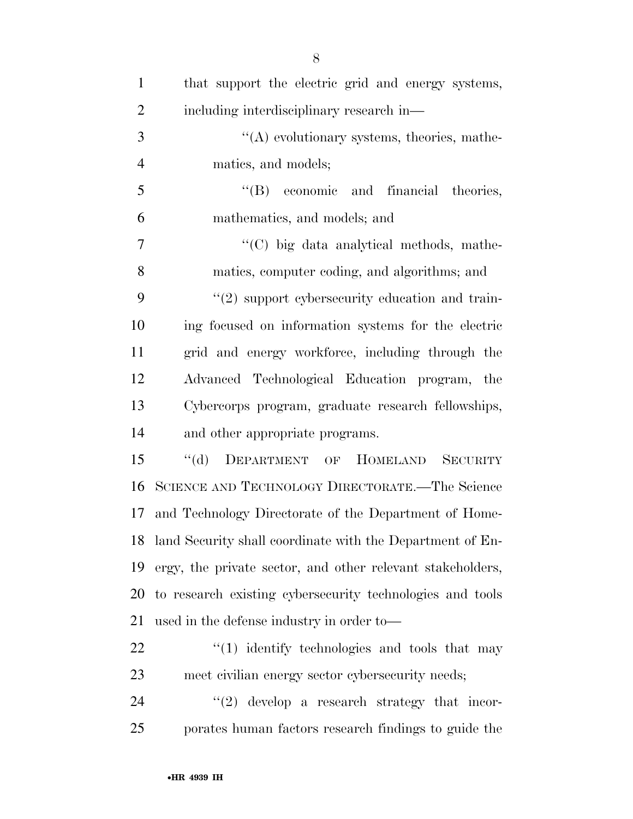| $\mathbf{1}$   | that support the electric grid and energy systems,           |
|----------------|--------------------------------------------------------------|
| $\overline{2}$ | including interdisciplinary research in—                     |
| 3              | $\lq\lq$ evolutionary systems, theories, mathe-              |
| $\overline{4}$ | matics, and models;                                          |
| $\mathfrak{S}$ | "(B) economic and financial theories,                        |
| 6              | mathematics, and models; and                                 |
| 7              | "(C) big data analytical methods, mathe-                     |
| 8              | matics, computer coding, and algorithms; and                 |
| 9              | $\lq(2)$ support cybersecurity education and train-          |
| 10             | ing focused on information systems for the electric          |
| 11             | grid and energy workforce, including through the             |
| 12             | Advanced Technological Education program, the                |
| 13             | Cybercorps program, graduate research fellowships,           |
| 14             | and other appropriate programs.                              |
| 15             | DEPARTMENT OF HOMELAND<br>$\lq\lq (d)$<br><b>SECURITY</b>    |
| 16             | SCIENCE AND TECHNOLOGY DIRECTORATE.—The Science              |
| 17             | and Technology Directorate of the Department of Home-        |
|                | 18 land Security shall coordinate with the Department of En- |
| 19             | ergy, the private sector, and other relevant stakeholders,   |
| 20             | to research existing cybersecurity technologies and tools    |
| 21             | used in the defense industry in order to-                    |
| 22             | $\lq(1)$ identify technologies and tools that may            |
| 23             | meet civilian energy sector cybersecurity needs;             |
| 24             | $\lq(2)$ develop a research strategy that incor-             |

porates human factors research findings to guide the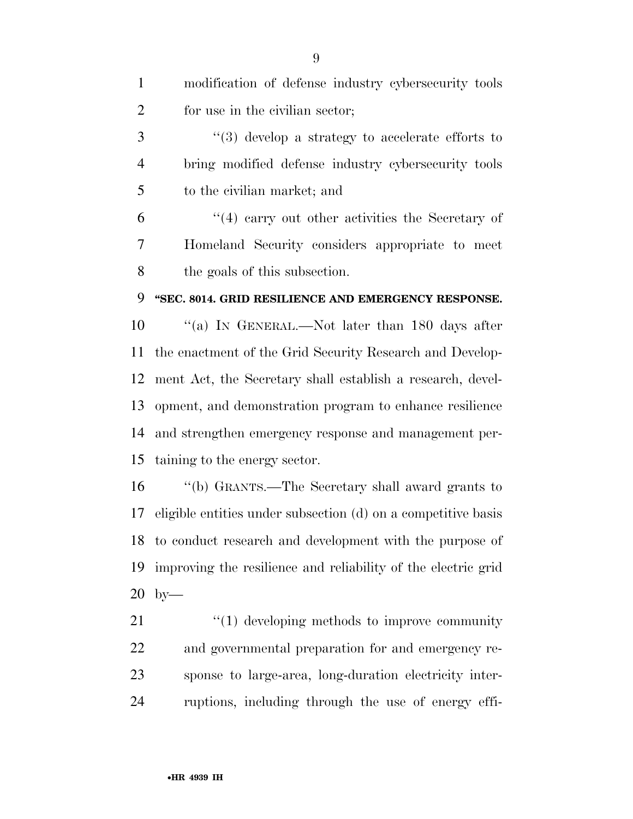| $\mathbf{1}$   | modification of defense industry cybersecurity tools          |
|----------------|---------------------------------------------------------------|
| $\overline{2}$ | for use in the civilian sector;                               |
| 3              | $\lq(3)$ develop a strategy to accelerate efforts to          |
| 4              | bring modified defense industry cybersecurity tools           |
| 5              | to the civilian market; and                                   |
| 6              | $(4)$ carry out other activities the Secretary of             |
| 7              | Homeland Security considers appropriate to meet               |
| 8              | the goals of this subsection.                                 |
| 9              | "SEC. 8014. GRID RESILIENCE AND EMERGENCY RESPONSE.           |
| 10             | "(a) IN GENERAL.—Not later than 180 days after                |
| 11             | the enactment of the Grid Security Research and Develop-      |
| 12             | ment Act, the Secretary shall establish a research, devel-    |
| 13             | opment, and demonstration program to enhance resilience       |
| 14             | and strengthen emergency response and management per-         |
| 15             | taining to the energy sector.                                 |
| 16             | "(b) GRANTS.—The Secretary shall award grants to              |
| 17             | eligible entities under subsection (d) on a competitive basis |
|                | 18 to conduct research and development with the purpose of    |
| 19             | improving the resilience and reliability of the electric grid |
| 20             | $by-$                                                         |
| 21             | $"(1)$ developing methods to improve community                |
| 22             | and governmental preparation for and emergency re-            |
| 23             | sponse to large-area, long-duration electricity inter-        |
| 24             | ruptions, including through the use of energy effi-           |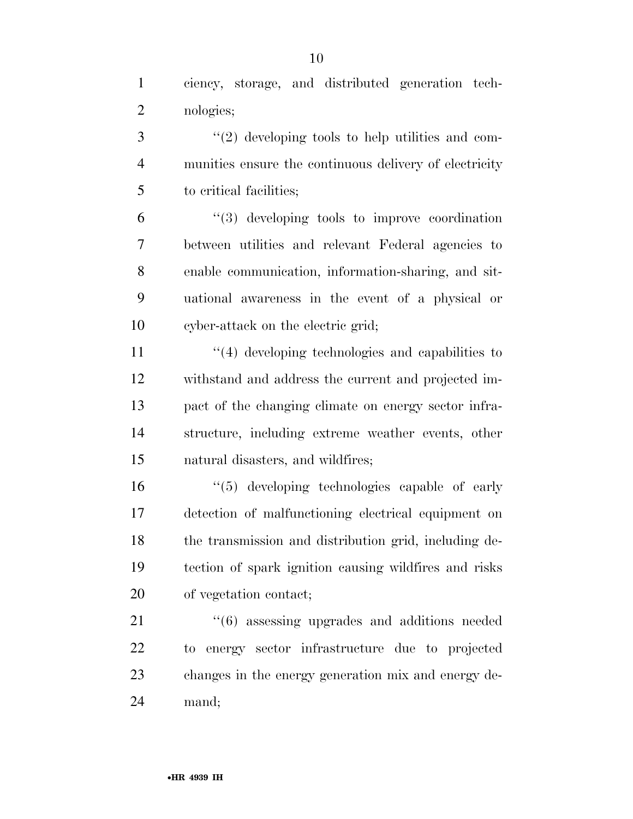ciency, storage, and distributed generation tech-nologies;

3 ''(2) developing tools to help utilities and com- munities ensure the continuous delivery of electricity to critical facilities;

 ''(3) developing tools to improve coordination between utilities and relevant Federal agencies to enable communication, information-sharing, and sit- uational awareness in the event of a physical or cyber-attack on the electric grid;

11 ''(4) developing technologies and capabilities to withstand and address the current and projected im- pact of the changing climate on energy sector infra- structure, including extreme weather events, other natural disasters, and wildfires;

 ''(5) developing technologies capable of early detection of malfunctioning electrical equipment on the transmission and distribution grid, including de- tection of spark ignition causing wildfires and risks of vegetation contact;

21 ''(6) assessing upgrades and additions needed to energy sector infrastructure due to projected changes in the energy generation mix and energy de-mand;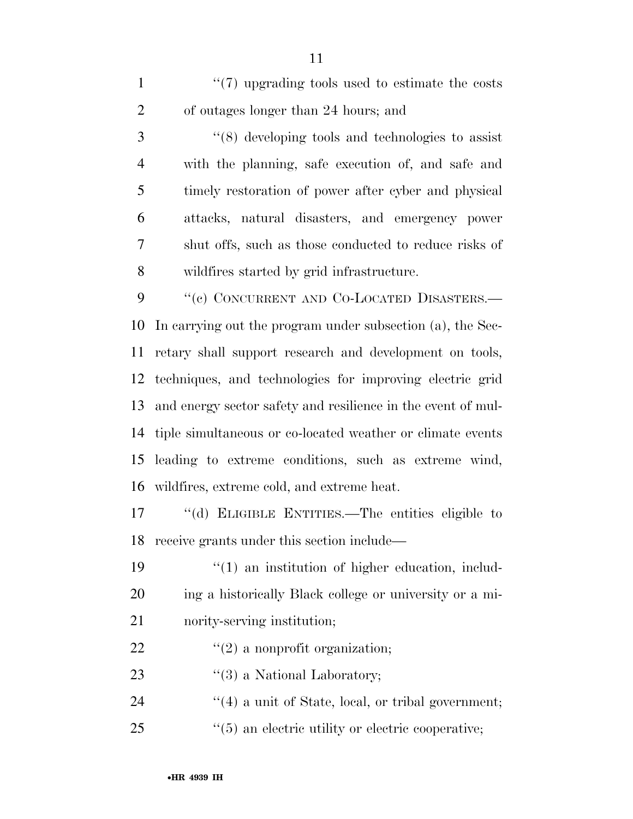1 ''(7) upgrading tools used to estimate the costs of outages longer than 24 hours; and

 ''(8) developing tools and technologies to assist with the planning, safe execution of, and safe and timely restoration of power after cyber and physical attacks, natural disasters, and emergency power shut offs, such as those conducted to reduce risks of wildfires started by grid infrastructure.

9 "(e) CONCURRENT AND CO-LOCATED DISASTERS.— In carrying out the program under subsection (a), the Sec- retary shall support research and development on tools, techniques, and technologies for improving electric grid and energy sector safety and resilience in the event of mul- tiple simultaneous or co-located weather or climate events leading to extreme conditions, such as extreme wind, wildfires, extreme cold, and extreme heat.

 ''(d) ELIGIBLE ENTITIES.—The entities eligible to receive grants under this section include—

19  $\frac{1}{2}$  (1) an institution of higher education, includ- ing a historically Black college or university or a mi-nority-serving institution;

- 22  $\frac{1}{2}$  a nonprofit organization;
- 23 ''(3) a National Laboratory;
- 24  $\frac{1}{4}$  a unit of State, local, or tribal government;
- 25  $\frac{1}{25}$  (5) an electric utility or electric cooperative;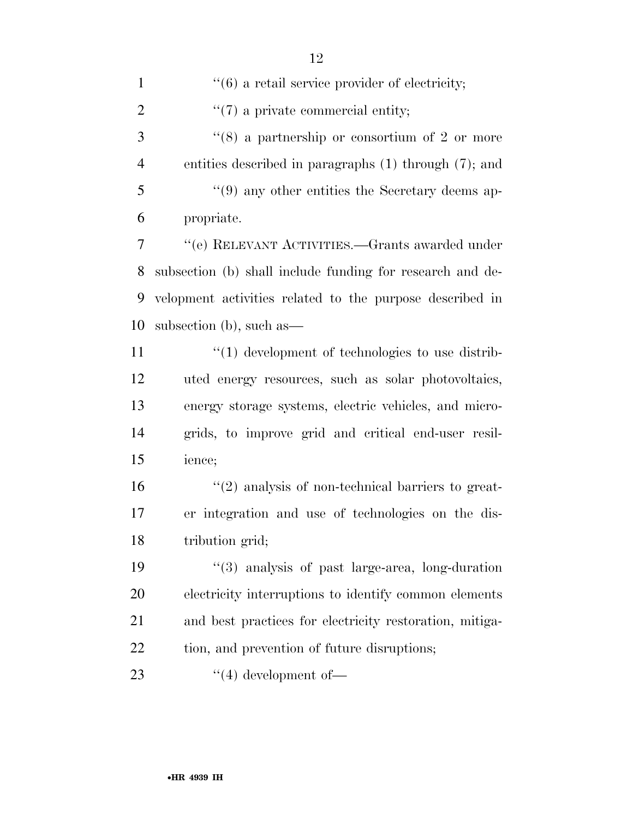$\frac{u(7)}{2}$  a private commercial entity; 3 ''(8) a partnership or consortium of 2 or more entities described in paragraphs (1) through (7); and ''(9) any other entities the Secretary deems ap- propriate. ''(e) RELEVANT ACTIVITIES.—Grants awarded under subsection (b) shall include funding for research and de- velopment activities related to the purpose described in subsection (b), such as—  $\frac{1}{2}$  (1) development of technologies to use distrib- uted energy resources, such as solar photovoltaics, energy storage systems, electric vehicles, and micro- grids, to improve grid and critical end-user resil- ience;  $\frac{16}{2}$   $\frac{16}{2}$  analysis of non-technical barriers to great- er integration and use of technologies on the dis- tribution grid; ''(3) analysis of past large-area, long-duration electricity interruptions to identify common elements and best practices for electricity restoration, mitiga-22 tion, and prevention of future disruptions;

23  $\frac{4}{4}$  development of —

 $\frac{1}{1}$  (6) a retail service provider of electricity;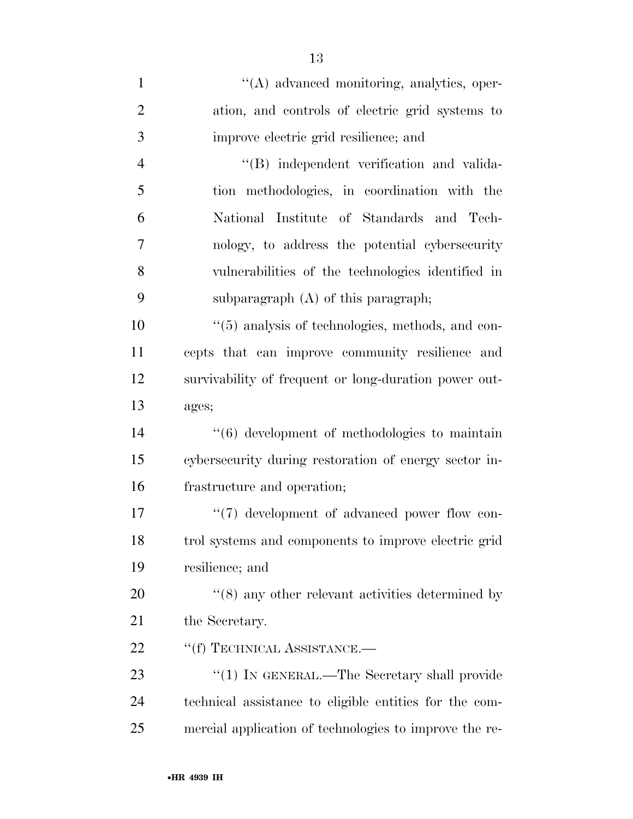| $\mathbf{1}$   | "(A) advanced monitoring, analytics, oper-                   |
|----------------|--------------------------------------------------------------|
| $\overline{2}$ | ation, and controls of electric grid systems to              |
| 3              | improve electric grid resilience; and                        |
| $\overline{4}$ | "(B) independent verification and valida-                    |
| 5              | tion methodologies, in coordination with the                 |
| 6              | National Institute of Standards and Tech-                    |
| 7              | nology, to address the potential cybersecurity               |
| 8              | vulnerabilities of the technologies identified in            |
| 9              | subparagraph $(A)$ of this paragraph;                        |
| 10             | $\lq(5)$ analysis of technologies, methods, and con-         |
| 11             | cepts that can improve community resilience and              |
| 12             | survivability of frequent or long-duration power out-        |
| 13             | ages;                                                        |
| 14             | "(6) development of methodologies to maintain                |
| 15             | cybersecurity during restoration of energy sector in-        |
| 16             | frastructure and operation;                                  |
| 17             | $\lq(7)$ development of advanced power flow con-             |
| 18             | trol systems and components to improve electric grid         |
| 19             | resilience; and                                              |
| 20             | $\cdot\cdot$ (8) any other relevant activities determined by |
| 21             | the Secretary.                                               |
| 22             | "(f) TECHNICAL ASSISTANCE.—                                  |
| 23             | " $(1)$ In GENERAL.—The Secretary shall provide              |
| 24             | technical assistance to eligible entities for the com-       |
| 25             | mercial application of technologies to improve the re-       |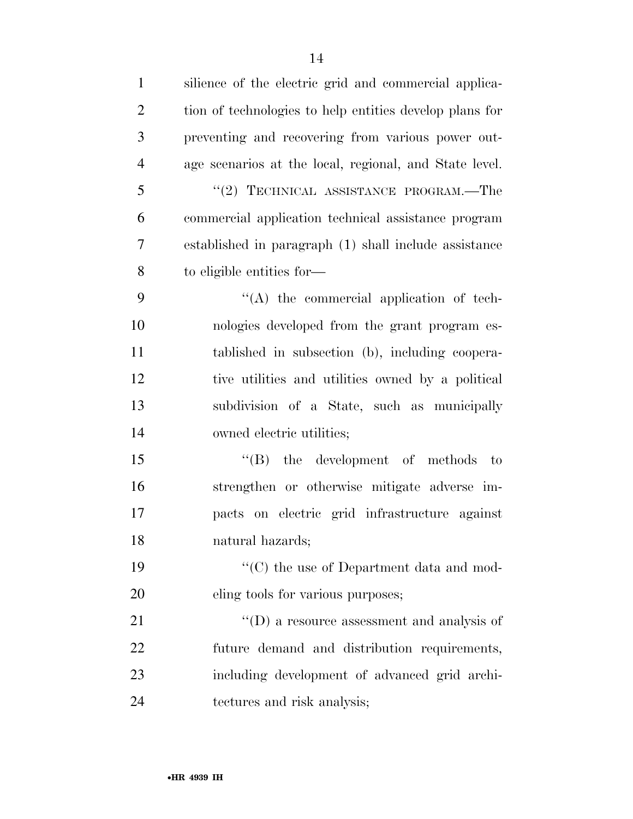| $\mathbf{1}$   | silience of the electric grid and commercial applica-         |
|----------------|---------------------------------------------------------------|
| $\overline{2}$ | tion of technologies to help entities develop plans for       |
| 3              | preventing and recovering from various power out-             |
| $\overline{4}$ | age scenarios at the local, regional, and State level.        |
| 5              | "(2) TECHNICAL ASSISTANCE PROGRAM.—The                        |
| 6              | commercial application technical assistance program           |
| $\overline{7}$ | established in paragraph (1) shall include assistance         |
| 8              | to eligible entities for—                                     |
| 9              | $\lq\lq$ the commercial application of tech-                  |
| 10             | nologies developed from the grant program es-                 |
| 11             | tablished in subsection (b), including coopera-               |
| 12             | tive utilities and utilities owned by a political             |
| 13             | subdivision of a State, such as municipally                   |
| 14             | owned electric utilities;                                     |
| 15             | $\lq\lq (B)$ the development of methods to                    |
| 16             | strengthen or otherwise mitigate adverse im-                  |
| 17             | pacts on electric grid infrastructure against                 |
| 18             | natural hazards;                                              |
| 19             | $\lq\lq$ <sup>*</sup> (C) the use of Department data and mod- |
| 20             | eling tools for various purposes;                             |
| 21             | $\lq\lq$ (D) a resource assessment and analysis of            |
| 22             | future demand and distribution requirements,                  |
| 23             | including development of advanced grid archi-                 |
| 24             | tectures and risk analysis;                                   |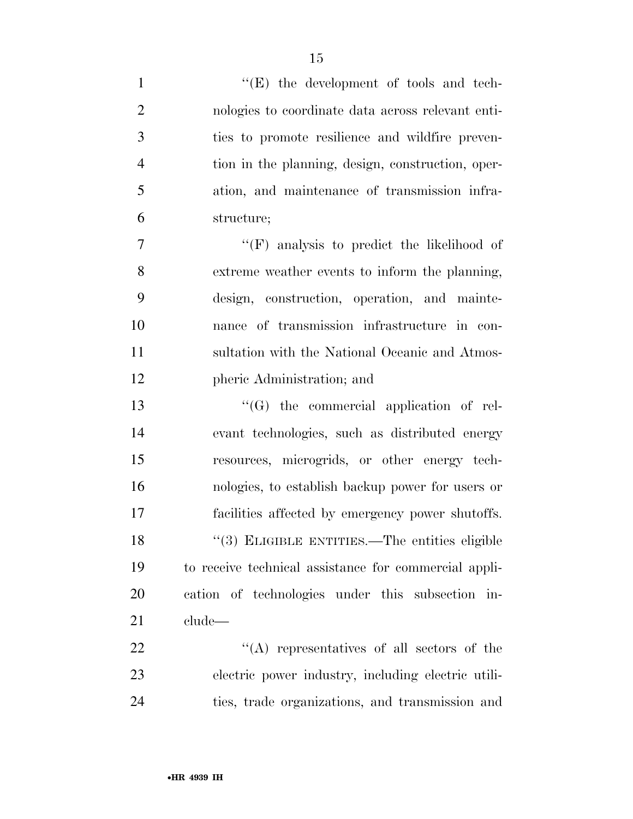| $\mathbf{1}$   | "(E) the development of tools and tech-               |
|----------------|-------------------------------------------------------|
| $\overline{2}$ | nologies to coordinate data across relevant enti-     |
| 3              | ties to promote resilience and wildfire preven-       |
| $\overline{4}$ | tion in the planning, design, construction, oper-     |
| 5              | ation, and maintenance of transmission infra-         |
| 6              | structure;                                            |
| $\tau$         | $\lq\lq(F)$ analysis to predict the likelihood of     |
| 8              | extreme weather events to inform the planning,        |
| 9              | design, construction, operation, and mainte-          |
| 10             | nance of transmission infrastructure in con-          |
| 11             | sultation with the National Oceanic and Atmos-        |
| 12             | pheric Administration; and                            |
| 13             | "(G) the commercial application of rel-               |
| 14             | evant technologies, such as distributed energy        |
| 15             | resources, microgrids, or other energy tech-          |
| 16             | nologies, to establish backup power for users or      |
| 17             | facilities affected by emergency power shutoffs.      |
| 18             | "(3) ELIGIBLE ENTITIES.—The entities eligible         |
| 19             | to receive technical assistance for commercial appli- |
| <b>20</b>      | cation of technologies under this subsection in-      |
| 21             | clude—                                                |
| 22             | $\lq\lq$ representatives of all sectors of the        |
| 23             | electric power industry, including electric utili-    |
| 24             | ties, trade organizations, and transmission and       |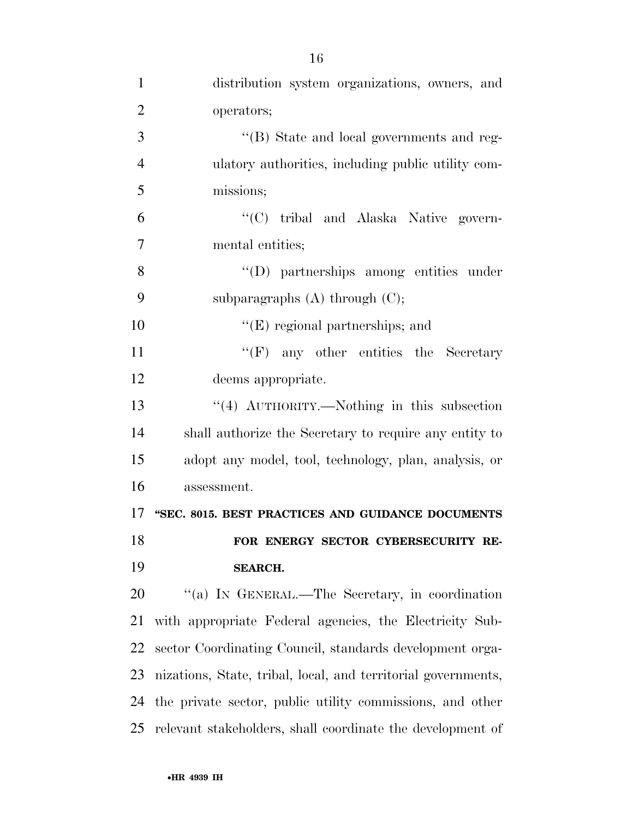| $\mathbf{1}$   | distribution system organizations, owners, and                |
|----------------|---------------------------------------------------------------|
| $\overline{2}$ | operators;                                                    |
| 3              | "(B) State and local governments and reg-                     |
| $\overline{4}$ | ulatory authorities, including public utility com-            |
| 5              | missions;                                                     |
| 6              | "(C) tribal and Alaska Native govern-                         |
| 7              | mental entities;                                              |
| 8              | "(D) partnerships among entities under                        |
| 9              | subparagraphs $(A)$ through $(C)$ ;                           |
| 10             | $\lq\lq$ (E) regional partnerships; and                       |
| 11             | $\lq\lq(F)$ any other entities the Secretary                  |
| 12             | deems appropriate.                                            |
| 13             | $\lq(4)$ AUTHORITY.—Nothing in this subsection                |
| 14             | shall authorize the Secretary to require any entity to        |
| 15             | adopt any model, tool, technology, plan, analysis, or         |
| 16             | assessment.                                                   |
| 17             | "SEC. 8015. BEST PRACTICES AND GUIDANCE DOCUMENTS             |
| 18             | FOR ENERGY SECTOR CYBERSECURITY RE-                           |
| 19             | <b>SEARCH.</b>                                                |
| 20             | "(a) IN GENERAL.—The Secretary, in coordination               |
| 21             | with appropriate Federal agencies, the Electricity Sub-       |
| 22             | sector Coordinating Council, standards development orga-      |
| 23             | nizations, State, tribal, local, and territorial governments, |
| 24             | the private sector, public utility commissions, and other     |
| 25             | relevant stakeholders, shall coordinate the development of    |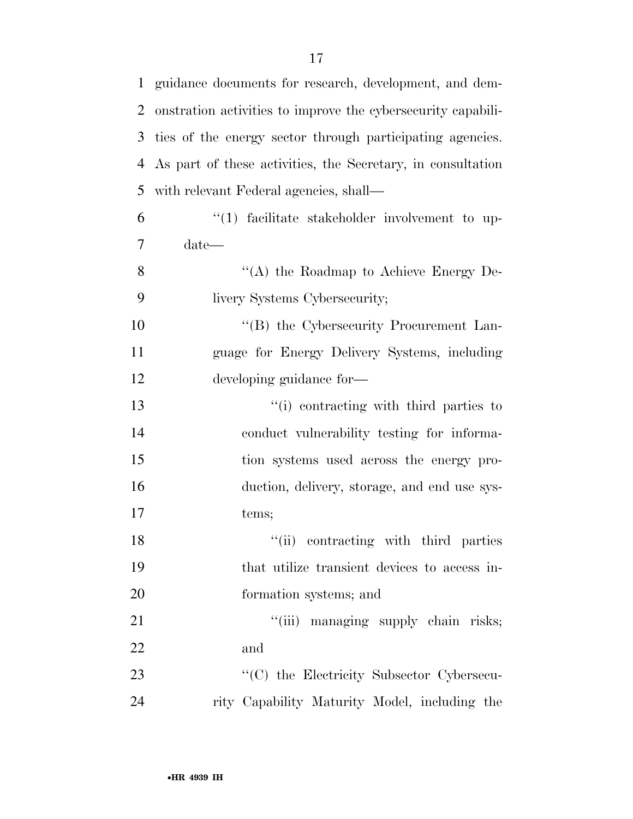| 1  | guidance documents for research, development, and dem-       |
|----|--------------------------------------------------------------|
| 2  | onstration activities to improve the cybersecurity capabili- |
| 3  | ties of the energy sector through participating agencies.    |
| 4  | As part of these activities, the Secretary, in consultation  |
| 5  | with relevant Federal agencies, shall—                       |
| 6  | $\lq(1)$ facilitate stakeholder involvement to up-           |
| 7  | $date-$                                                      |
| 8  | "(A) the Roadmap to Achieve Energy De-                       |
| 9  | livery Systems Cybersecurity;                                |
| 10 | "(B) the Cybersecurity Procurement Lan-                      |
| 11 | guage for Energy Delivery Systems, including                 |
| 12 | developing guidance for-                                     |
| 13 | "(i) contracting with third parties to                       |
| 14 | conduct vulnerability testing for informa-                   |
| 15 | tion systems used across the energy pro-                     |
| 16 | duction, delivery, storage, and end use sys-                 |
| 17 | tems;                                                        |
| 18 | "(ii) contracting with third parties                         |
| 19 | that utilize transient devices to access in-                 |
| 20 | formation systems; and                                       |
| 21 | "(iii) managing supply chain risks;                          |
| 22 | and                                                          |
| 23 | "(C) the Electricity Subsector Cybersecu-                    |
| 24 | rity Capability Maturity Model, including the                |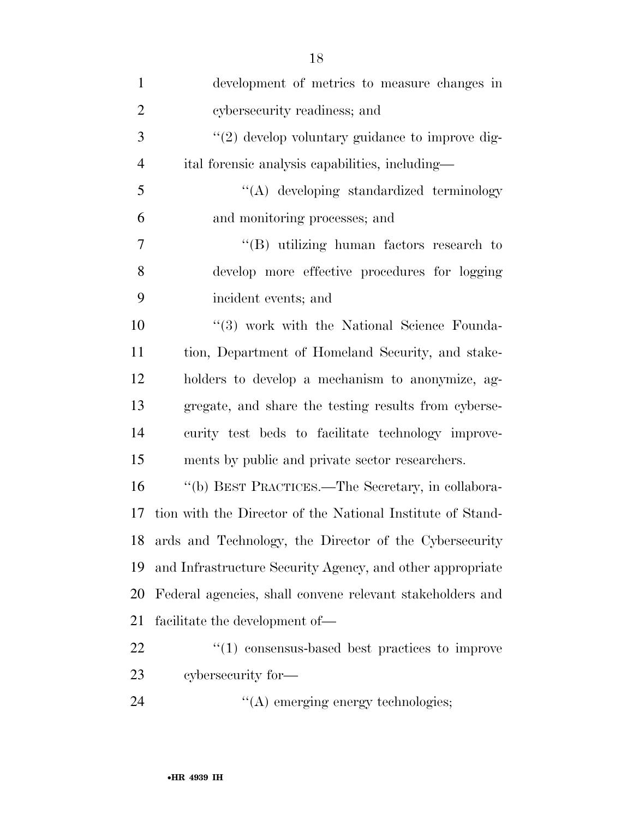| $\mathbf{1}$   | development of metrics to measure changes in               |
|----------------|------------------------------------------------------------|
| $\overline{2}$ | cybersecurity readiness; and                               |
| 3              | $\lq(2)$ develop voluntary guidance to improve dig-        |
| $\overline{4}$ | ital forensic analysis capabilities, including—            |
| 5              | "(A) developing standardized terminology                   |
| 6              | and monitoring processes; and                              |
| 7              | $\lq\lq(B)$ utilizing human factors research to            |
| 8              | develop more effective procedures for logging              |
| 9              | incident events; and                                       |
| 10             | "(3) work with the National Science Founda-                |
| 11             | tion, Department of Homeland Security, and stake-          |
| 12             | holders to develop a mechanism to anonymize, ag-           |
| 13             | gregate, and share the testing results from cyberse-       |
| 14             | curity test beds to facilitate technology improve-         |
| 15             | ments by public and private sector researchers.            |
| 16             | "(b) BEST PRACTICES.—The Secretary, in collabora-          |
| 17             | tion with the Director of the National Institute of Stand- |
| 18             | ards and Technology, the Director of the Cybersecurity     |
| 19             | and Infrastructure Security Agency, and other appropriate  |
| 20             | Federal agencies, shall convene relevant stakeholders and  |
| 21             | facilitate the development of—                             |
| 22             | $\lq(1)$ consensus-based best practices to improve         |
| 23             | cybersecurity for-                                         |
| 24             | $\lq\lq$ emerging energy technologies;                     |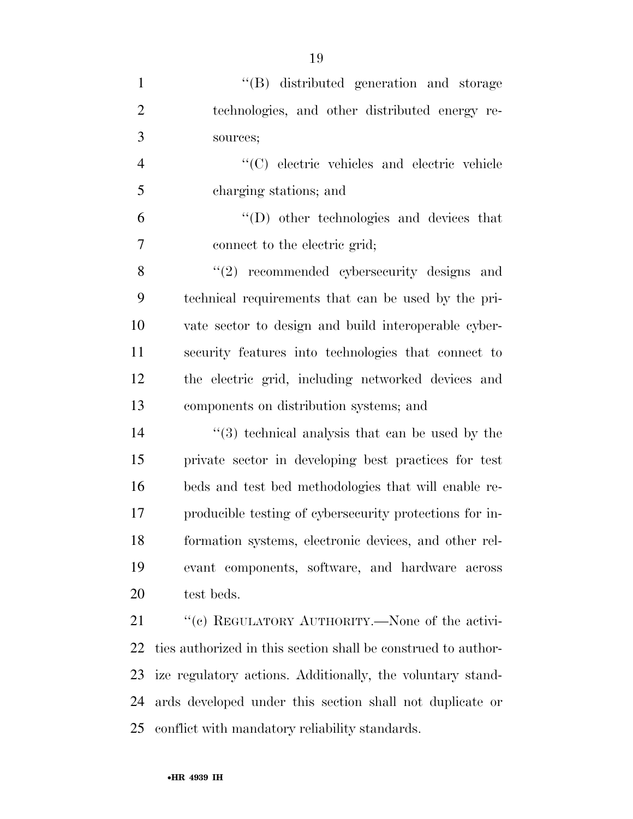| $\mathbf{1}$   | "(B) distributed generation and storage                       |
|----------------|---------------------------------------------------------------|
| $\mathbf{2}$   | technologies, and other distributed energy re-                |
| 3              | sources;                                                      |
| $\overline{4}$ | "(C) electric vehicles and electric vehicle                   |
| 5              | charging stations; and                                        |
| 6              | "(D) other technologies and devices that                      |
| $\overline{7}$ | connect to the electric grid;                                 |
| 8              | $(2)$ recommended cybersecurity designs and                   |
| 9              | technical requirements that can be used by the pri-           |
| 10             | vate sector to design and build interoperable cyber-          |
| 11             | security features into technologies that connect to           |
| 12             | the electric grid, including networked devices and            |
| 13             | components on distribution systems; and                       |
| 14             | $(3)$ technical analysis that can be used by the              |
| 15             | private sector in developing best practices for test          |
| 16             | beds and test bed methodologies that will enable re-          |
| 17             | producible testing of cybersecurity protections for in-       |
| 18             | formation systems, electronic devices, and other rel-         |
| 19             | evant components, software, and hardware across               |
| 20             | test beds.                                                    |
| 21             | "(c) REGULATORY AUTHORITY.—None of the activi-                |
| 22             | ties authorized in this section shall be construed to author- |
| 23             | ize regulatory actions. Additionally, the voluntary stand-    |
| 24             | ards developed under this section shall not duplicate or      |
| 25             | conflict with mandatory reliability standards.                |

•**HR 4939 IH**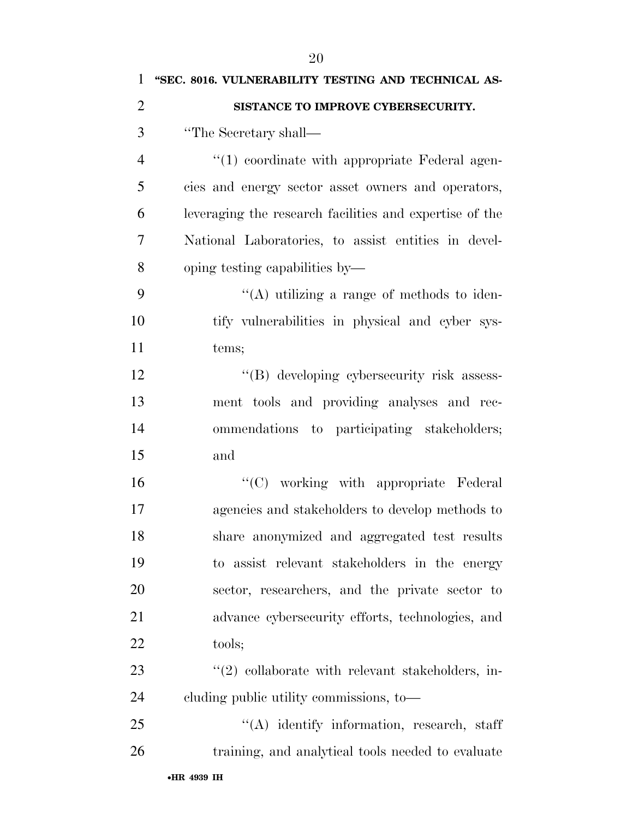| $\mathbf{1}$   | "SEC. 8016. VULNERABILITY TESTING AND TECHNICAL AS-     |
|----------------|---------------------------------------------------------|
| $\overline{2}$ | SISTANCE TO IMPROVE CYBERSECURITY.                      |
| 3              | "The Secretary shall—                                   |
| $\overline{4}$ | $\lq(1)$ coordinate with appropriate Federal agen-      |
| 5              | cies and energy sector asset owners and operators,      |
| 6              | leveraging the research facilities and expertise of the |
| 7              | National Laboratories, to assist entities in devel-     |
| 8              | oping testing capabilities by—                          |
| 9              | "(A) utilizing a range of methods to iden-              |
| 10             | tify vulnerabilities in physical and cyber sys-         |
| 11             | tems;                                                   |
| 12             | "(B) developing cybersecurity risk assess-              |
| 13             | ment tools and providing analyses and rec-              |
| 14             | ommendations to participating stakeholders;             |
| 15             | and                                                     |
| 16             | $\lq\lq$ (C) working with appropriate Federal           |
| 17             | agencies and stakeholders to develop methods to         |
| 18             | share anonymized and aggregated test results            |
| 19             | to assist relevant stakeholders in the energy           |
| <b>20</b>      | sector, researchers, and the private sector to          |
| 21             | advance cybersecurity efforts, technologies, and        |
| 22             | tools;                                                  |
| 23             | $"(2)$ collaborate with relevant stakeholders, in-      |
| 24             | eluding public utility commissions, to-                 |
| 25             | $\lq\lq$ identify information, research, staff          |
| 26             | training, and analytical tools needed to evaluate       |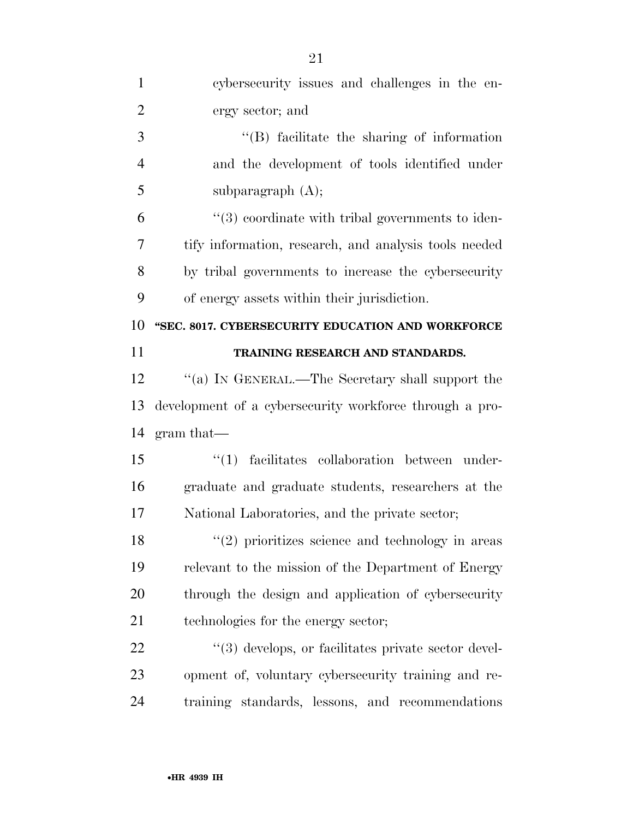| $\mathbf{1}$   | cybersecurity issues and challenges in the en-          |
|----------------|---------------------------------------------------------|
| $\overline{2}$ | ergy sector; and                                        |
| 3              | $\lq\lq$ facilitate the sharing of information          |
| $\overline{4}$ | and the development of tools identified under           |
| 5              | subparagraph $(A)$ ;                                    |
| 6              | $\lq(3)$ coordinate with tribal governments to iden-    |
| 7              | tify information, research, and analysis tools needed   |
| 8              | by tribal governments to increase the cybersecurity     |
| 9              | of energy assets within their jurisdiction.             |
| 10             | "SEC. 8017. CYBERSECURITY EDUCATION AND WORKFORCE       |
| 11             | TRAINING RESEARCH AND STANDARDS.                        |
| 12             | "(a) IN GENERAL.—The Secretary shall support the        |
| 13             | development of a cybersecurity workforce through a pro- |
| 14             | $gram that$ —                                           |
| 15             | facilitates collaboration between under-<br>``(1)       |
| 16             | graduate and graduate students, researchers at the      |
| 17             | National Laboratories, and the private sector;          |
| 18             | $\lq(2)$ prioritizes science and technology in areas    |
| 19             | relevant to the mission of the Department of Energy     |
| 20             | through the design and application of cybersecurity     |
| 21             | technologies for the energy sector;                     |
| 22             | "(3) develops, or facilitates private sector devel-     |
| 23             | opment of, voluntary cybersecurity training and re-     |
| 24             | training standards, lessons, and recommendations        |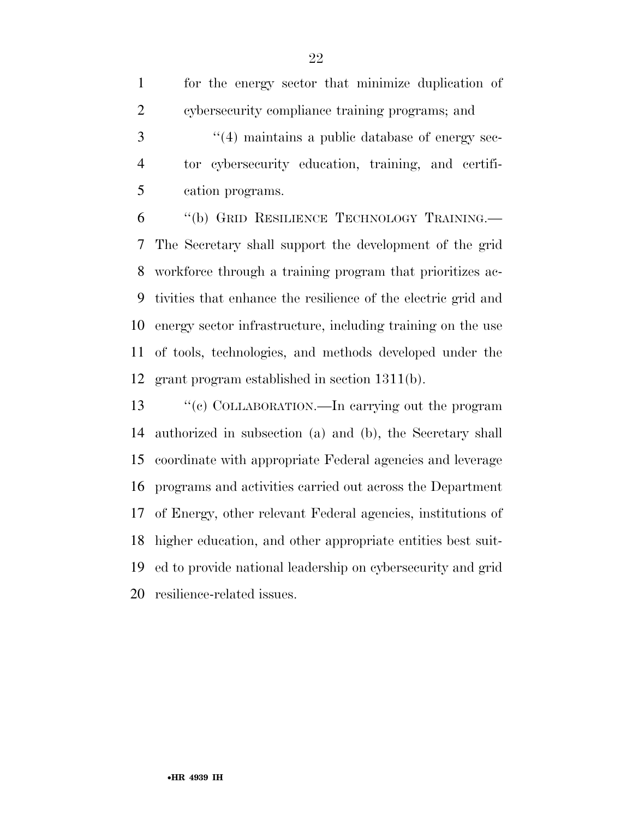|                | for the energy sector that minimize duplication of     |
|----------------|--------------------------------------------------------|
| 2              | cybersecurity compliance training programs; and        |
|                | $\cdot$ (4) maintains a public database of energy sec- |
| $\overline{4}$ | tor cybersecurity education, training, and certifi-    |
|                | cation programs.                                       |
|                | $11/1$ $\sim$ $\sim$                                   |

 ''(b) GRID RESILIENCE TECHNOLOGY TRAINING.— The Secretary shall support the development of the grid workforce through a training program that prioritizes ac- tivities that enhance the resilience of the electric grid and energy sector infrastructure, including training on the use of tools, technologies, and methods developed under the grant program established in section 1311(b).

 ''(c) COLLABORATION.—In carrying out the program authorized in subsection (a) and (b), the Secretary shall coordinate with appropriate Federal agencies and leverage programs and activities carried out across the Department of Energy, other relevant Federal agencies, institutions of higher education, and other appropriate entities best suit- ed to provide national leadership on cybersecurity and grid resilience-related issues.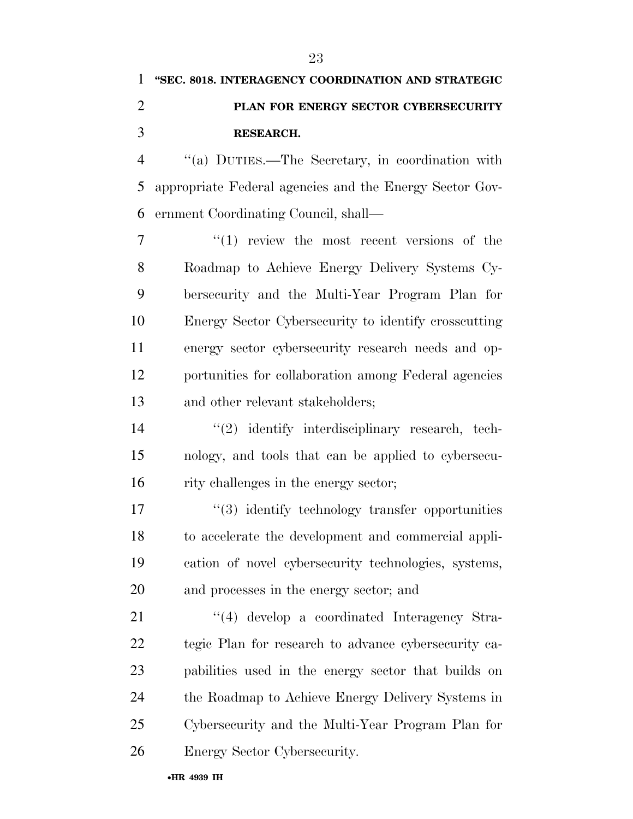## **''SEC. 8018. INTERAGENCY COORDINATION AND STRATEGIC PLAN FOR ENERGY SECTOR CYBERSECURITY RESEARCH.**

 ''(a) DUTIES.—The Secretary, in coordination with appropriate Federal agencies and the Energy Sector Gov-ernment Coordinating Council, shall—

 $7 \t\t\t\t\t''(1)$  review the most recent versions of the Roadmap to Achieve Energy Delivery Systems Cy- bersecurity and the Multi-Year Program Plan for Energy Sector Cybersecurity to identify crosscutting energy sector cybersecurity research needs and op- portunities for collaboration among Federal agencies and other relevant stakeholders;

14 "(2) identify interdisciplinary research, tech- nology, and tools that can be applied to cybersecu-rity challenges in the energy sector;

17 ''(3) identify technology transfer opportunities to accelerate the development and commercial appli- cation of novel cybersecurity technologies, systems, and processes in the energy sector; and

21 ''(4) develop a coordinated Interagency Stra- tegic Plan for research to advance cybersecurity ca- pabilities used in the energy sector that builds on the Roadmap to Achieve Energy Delivery Systems in Cybersecurity and the Multi-Year Program Plan for Energy Sector Cybersecurity.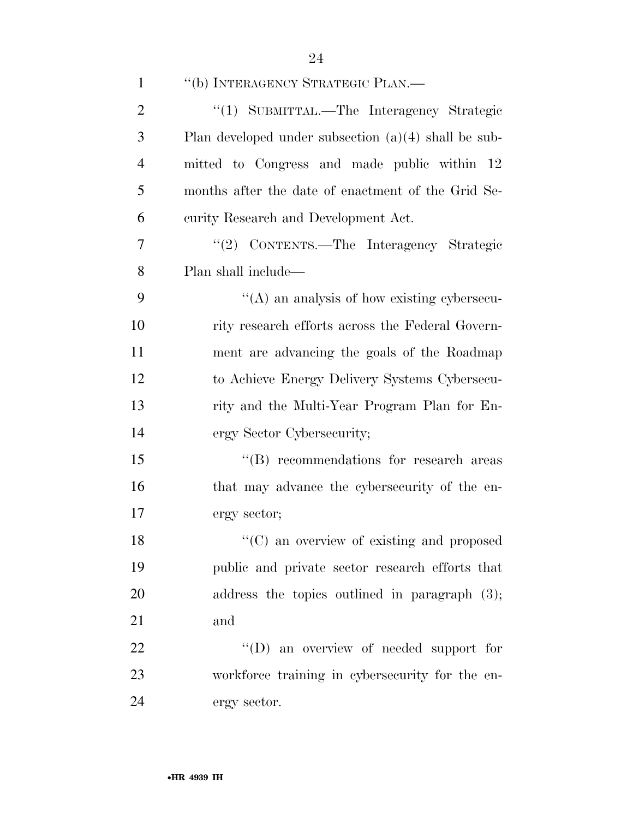| $\mathbf{1}$   | "(b) INTERAGENCY STRATEGIC PLAN.—                      |
|----------------|--------------------------------------------------------|
| $\overline{2}$ | "(1) SUBMITTAL.-The Interagency Strategic              |
| 3              | Plan developed under subsection $(a)(4)$ shall be sub- |
| $\overline{4}$ | mitted to Congress and made public within 12           |
| 5              | months after the date of enactment of the Grid Se-     |
| 6              | curity Research and Development Act.                   |
| 7              | "(2) CONTENTS.—The Interagency Strategic               |
| 8              | Plan shall include—                                    |
| 9              | $\lq\lq$ and analysis of how existing cypersecu-       |
| 10             | rity research efforts across the Federal Govern-       |
| 11             | ment are advancing the goals of the Roadmap            |
| 12             | to Achieve Energy Delivery Systems Cybersecu-          |
| 13             | rity and the Multi-Year Program Plan for En-           |
| 14             | ergy Sector Cybersecurity;                             |
| 15             | $\lq\lq$ recommendations for research areas            |
| 16             | that may advance the cybersecurity of the en-          |
| 17             | ergy sector;                                           |
| 18             | "(C) an overview of existing and proposed              |
| 19             | public and private sector research efforts that        |
| 20             | address the topics outlined in paragraph $(3)$ ;       |
| 21             | and                                                    |
| 22             | $\lq\lq$ (D) an overview of needed support for         |
| 23             | workforce training in cybersecurity for the en-        |
| 24             | ergy sector.                                           |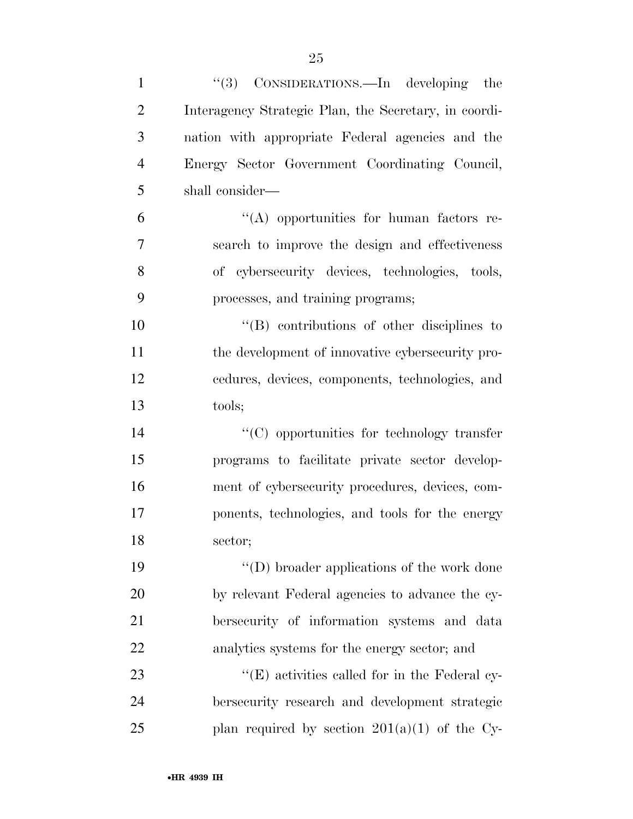| $\mathbf{1}$   | "(3) CONSIDERATIONS.—In developing the                |
|----------------|-------------------------------------------------------|
| $\overline{2}$ | Interagency Strategic Plan, the Secretary, in coordi- |
| 3              | nation with appropriate Federal agencies and the      |
| $\overline{4}$ | Energy Sector Government Coordinating Council,        |
| 5              | shall consider—                                       |
| 6              | $\lq\lq$ opportunities for human factors re-          |
| 7              | search to improve the design and effectiveness        |
| 8              | of cybersecurity devices, technologies, tools,        |
| 9              | processes, and training programs;                     |
| 10             | $\lq\lq$ contributions of other disciplines to        |
| 11             | the development of innovative cybersecurity pro-      |
| 12             | cedures, devices, components, technologies, and       |
| 13             | tools;                                                |
| 14             | $\lq\lq$ (C) opportunities for technology transfer    |
| 15             | programs to facilitate private sector develop-        |
| 16             | ment of cybersecurity procedures, devices, com-       |
| 17             | ponents, technologies, and tools for the energy       |
| 18             | sector;                                               |
| 19             | $\lq\lq$ (D) broader applications of the work done    |
| 20             | by relevant Federal agencies to advance the cy-       |
| 21             | bersecurity of information systems and data           |
| 22             | analytics systems for the energy sector; and          |
| 23             | "(E) activities called for in the Federal cy-         |
| 24             | bersecurity research and development strategic        |
| 25             | plan required by section $201(a)(1)$ of the Cy-       |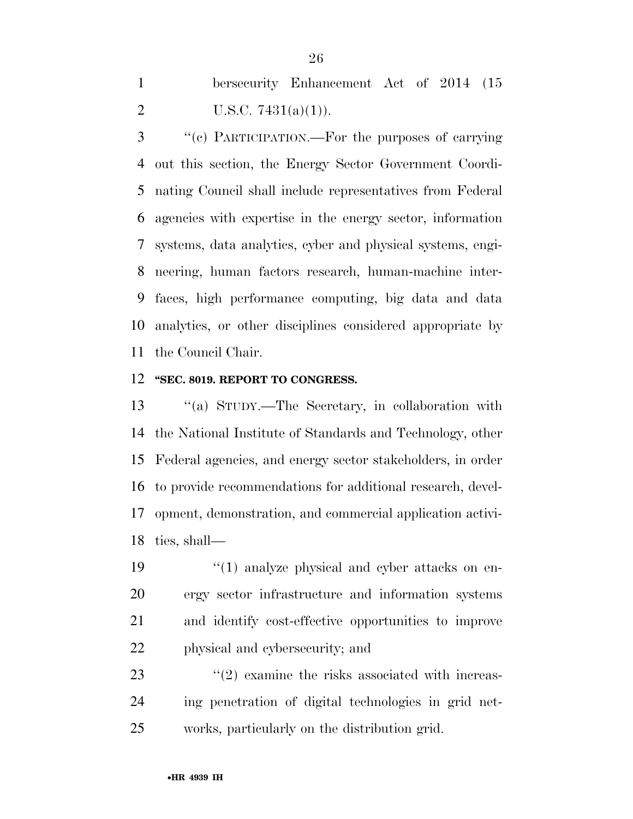bersecurity Enhancement Act of 2014 (15 2 U.S.C.  $7431(a)(1)$ .

 ''(c) PARTICIPATION.—For the purposes of carrying out this section, the Energy Sector Government Coordi- nating Council shall include representatives from Federal agencies with expertise in the energy sector, information systems, data analytics, cyber and physical systems, engi- neering, human factors research, human-machine inter- faces, high performance computing, big data and data analytics, or other disciplines considered appropriate by the Council Chair.

#### **''SEC. 8019. REPORT TO CONGRESS.**

 ''(a) STUDY.—The Secretary, in collaboration with the National Institute of Standards and Technology, other Federal agencies, and energy sector stakeholders, in order to provide recommendations for additional research, devel- opment, demonstration, and commercial application activi-ties, shall—

 $\frac{1}{2}$  (1) analyze physical and cyber attacks on en- ergy sector infrastructure and information systems and identify cost-effective opportunities to improve physical and cybersecurity; and

23 ''(2) examine the risks associated with increas- ing penetration of digital technologies in grid net-works, particularly on the distribution grid.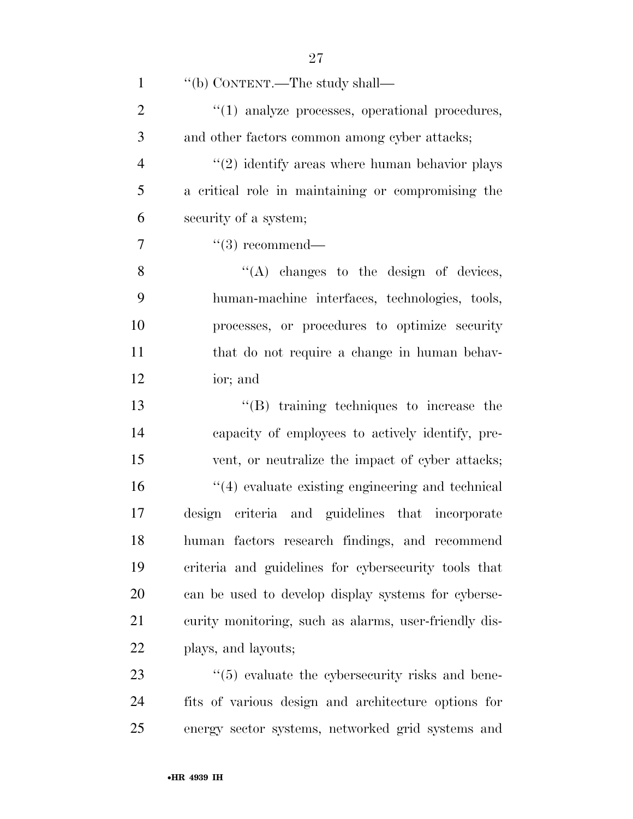| $\mathbf{1}$   | "(b) CONTENT.—The study shall—                            |
|----------------|-----------------------------------------------------------|
| $\overline{2}$ | $\lq(1)$ analyze processes, operational procedures,       |
| 3              | and other factors common among cyber attacks;             |
| $\overline{4}$ | $\cdot\cdot(2)$ identify areas where human behavior plays |
| 5              | a critical role in maintaining or compromising the        |
| 6              | security of a system;                                     |
| 7              | $\lq(3)$ recommend—                                       |
| 8              | $\lq\lq$ changes to the design of devices,                |
| 9              | human-machine interfaces, technologies, tools,            |
| 10             | processes, or procedures to optimize security             |
| 11             | that do not require a change in human behav-              |
| 12             | ior; and                                                  |
| 13             | $\lq\lq$ training techniques to increase the              |
| 14             | capacity of employees to actively identify, pre-          |
| 15             | vent, or neutralize the impact of cyber attacks;          |
| 16             | $"(4)$ evaluate existing engineering and technical        |
| 17             | design criteria and guidelines that incorporate           |
| 18             | human factors research findings, and recommend            |
| 19             | criteria and guidelines for cybersecurity tools that      |
| 20             | can be used to develop display systems for cyberse-       |
| 21             | curity monitoring, such as alarms, user-friendly dis-     |
| 22             | plays, and layouts;                                       |
| 23             | $\lq(5)$ evaluate the cybersecurity risks and bene-       |
| 24             | fits of various design and architecture options for       |
| 25             | energy sector systems, networked grid systems and         |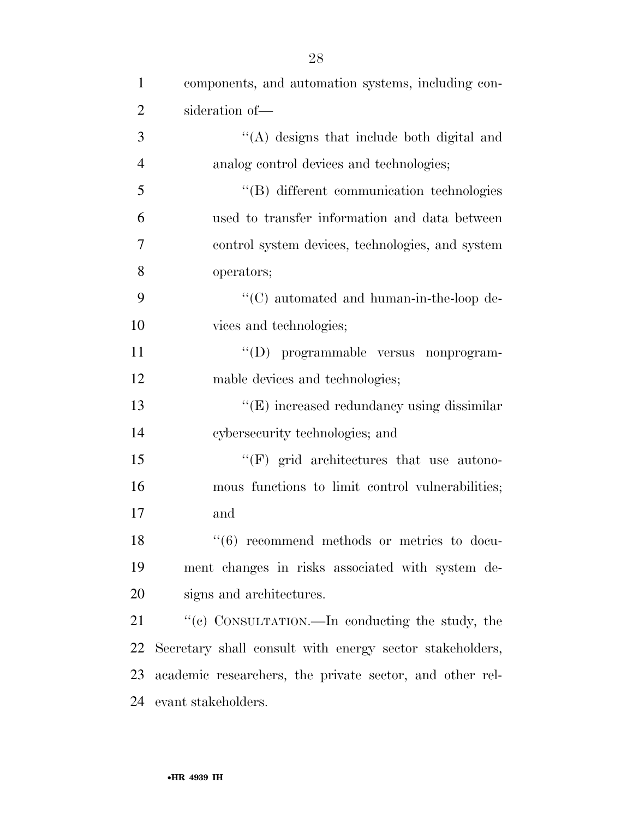| $\mathbf{1}$   | components, and automation systems, including con-         |
|----------------|------------------------------------------------------------|
| $\overline{2}$ | sideration of-                                             |
| 3              | "(A) designs that include both digital and                 |
| $\overline{4}$ | analog control devices and technologies;                   |
| 5              | "(B) different communication technologies                  |
| 6              | used to transfer information and data between              |
| 7              | control system devices, technologies, and system           |
| 8              | operators;                                                 |
| 9              | $\cdot$ (C) automated and human-in-the-loop de-            |
| 10             | vices and technologies;                                    |
| 11             | "(D) programmable versus nonprogram-                       |
| 12             | mable devices and technologies;                            |
| 13             | "(E) increased redundancy using dissimilar                 |
| 14             | cybersecurity technologies; and                            |
| 15             | $\lq\lq(F)$ grid architectures that use autono-            |
| 16             | mous functions to limit control vulnerabilities;           |
| 17             | and                                                        |
| 18             | $\cdot\cdot\cdot(6)$ recommend methods or metrics to docu- |
| 19             | ment changes in risks associated with system de-           |
| 20             | signs and architectures.                                   |
| 21             | "(c) CONSULTATION.—In conducting the study, the            |
| 22             | Secretary shall consult with energy sector stakeholders,   |
| 23             | academic researchers, the private sector, and other rel-   |
| 24             | evant stakeholders.                                        |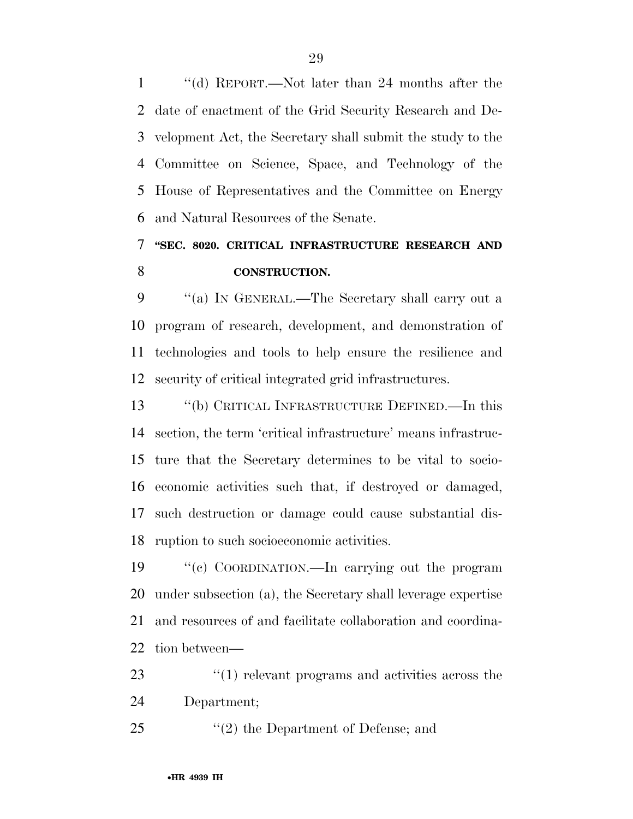''(d) REPORT.—Not later than 24 months after the date of enactment of the Grid Security Research and De- velopment Act, the Secretary shall submit the study to the Committee on Science, Space, and Technology of the House of Representatives and the Committee on Energy and Natural Resources of the Senate.

### **''SEC. 8020. CRITICAL INFRASTRUCTURE RESEARCH AND CONSTRUCTION.**

 ''(a) IN GENERAL.—The Secretary shall carry out a program of research, development, and demonstration of technologies and tools to help ensure the resilience and security of critical integrated grid infrastructures.

 ''(b) CRITICAL INFRASTRUCTURE DEFINED.—In this section, the term 'critical infrastructure' means infrastruc- ture that the Secretary determines to be vital to socio- economic activities such that, if destroyed or damaged, such destruction or damage could cause substantial dis-ruption to such socioeconomic activities.

 ''(c) COORDINATION.—In carrying out the program under subsection (a), the Secretary shall leverage expertise and resources of and facilitate collaboration and coordina-tion between—

23 ''(1) relevant programs and activities across the Department;

''(2) the Department of Defense; and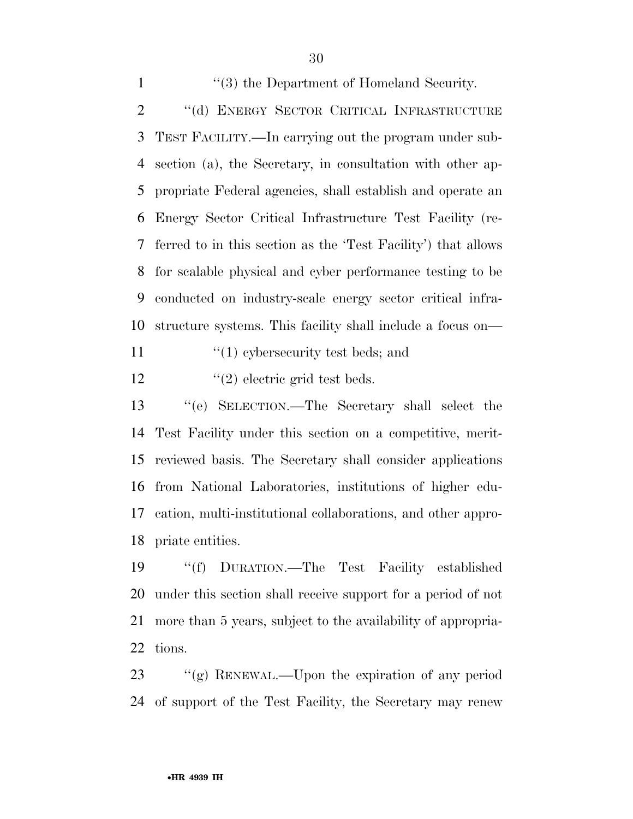1 ''(3) the Department of Homeland Security. 2 "(d) ENERGY SECTOR CRITICAL INFRASTRUCTURE TEST FACILITY.—In carrying out the program under sub- section (a), the Secretary, in consultation with other ap- propriate Federal agencies, shall establish and operate an Energy Sector Critical Infrastructure Test Facility (re- ferred to in this section as the 'Test Facility') that allows for scalable physical and cyber performance testing to be conducted on industry-scale energy sector critical infra-structure systems. This facility shall include a focus on—

11  $\frac{1}{2}$  (1) cybersecurity test beds; and

12  $\frac{1}{2}$  electric grid test beds.

 ''(e) SELECTION.—The Secretary shall select the Test Facility under this section on a competitive, merit- reviewed basis. The Secretary shall consider applications from National Laboratories, institutions of higher edu- cation, multi-institutional collaborations, and other appro-priate entities.

 ''(f) DURATION.—The Test Facility established under this section shall receive support for a period of not more than 5 years, subject to the availability of appropria-tions.

 ''(g) RENEWAL.—Upon the expiration of any period of support of the Test Facility, the Secretary may renew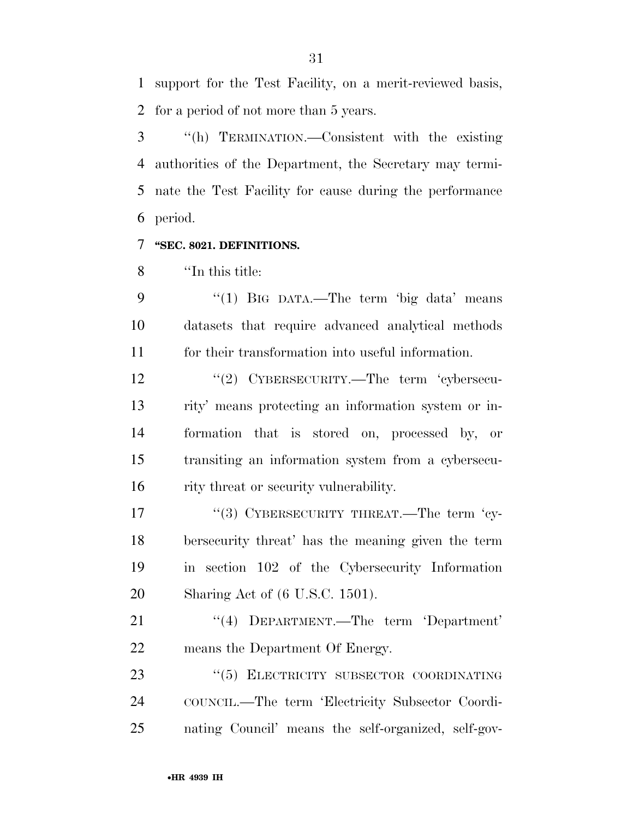support for the Test Facility, on a merit-reviewed basis, for a period of not more than 5 years.

 ''(h) TERMINATION.—Consistent with the existing authorities of the Department, the Secretary may termi- nate the Test Facility for cause during the performance period.

### **''SEC. 8021. DEFINITIONS.**

''In this title:

9 "(1) BIG DATA.—The term 'big data' means datasets that require advanced analytical methods for their transformation into useful information.

12 "(2) CYBERSECURITY.—The term 'cybersecu- rity' means protecting an information system or in- formation that is stored on, processed by, or transiting an information system from a cybersecu-16 rity threat or security vulnerability.

17 "(3) CYBERSECURITY THREAT.—The term 'cy- bersecurity threat' has the meaning given the term in section 102 of the Cybersecurity Information Sharing Act of (6 U.S.C. 1501).

21 "(4) DEPARTMENT.—The term 'Department' means the Department Of Energy.

23 "(5) ELECTRICITY SUBSECTOR COORDINATING COUNCIL.—The term 'Electricity Subsector Coordi-nating Council' means the self-organized, self-gov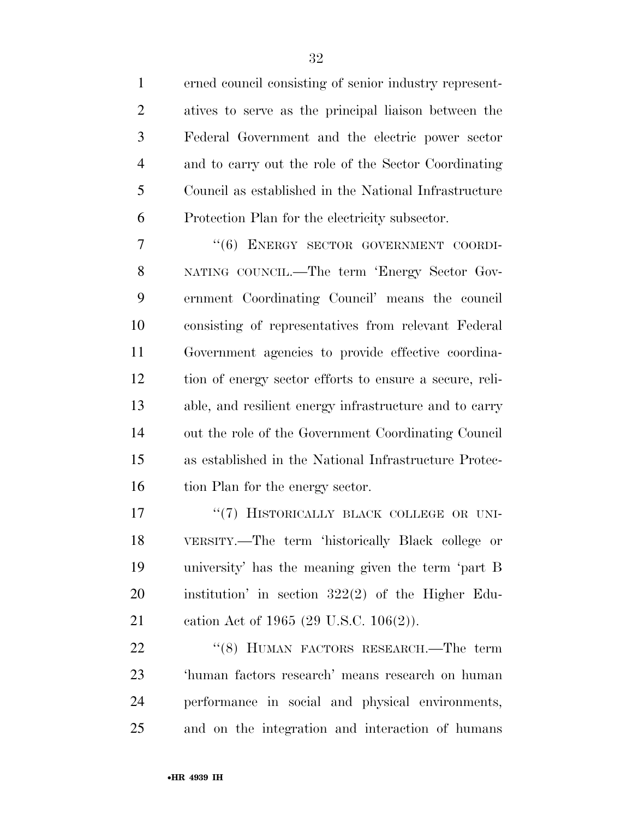erned council consisting of senior industry represent- atives to serve as the principal liaison between the Federal Government and the electric power sector and to carry out the role of the Sector Coordinating Council as established in the National Infrastructure Protection Plan for the electricity subsector.

7 "(6) ENERGY SECTOR GOVERNMENT COORDI- NATING COUNCIL.—The term 'Energy Sector Gov- ernment Coordinating Council' means the council consisting of representatives from relevant Federal Government agencies to provide effective coordina- tion of energy sector efforts to ensure a secure, reli- able, and resilient energy infrastructure and to carry out the role of the Government Coordinating Council as established in the National Infrastructure Protec-16 tion Plan for the energy sector.

17 "(7) HISTORICALLY BLACK COLLEGE OR UNI- VERSITY.—The term 'historically Black college or university' has the meaning given the term 'part B institution' in section 322(2) of the Higher Edu-cation Act of 1965 (29 U.S.C. 106(2)).

22 "(8) HUMAN FACTORS RESEARCH.—The term 'human factors research' means research on human performance in social and physical environments, and on the integration and interaction of humans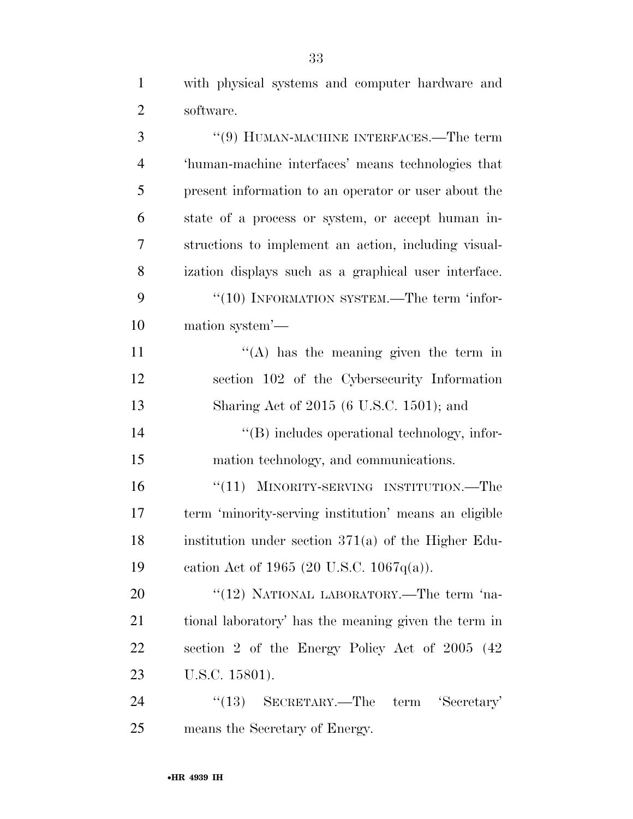with physical systems and computer hardware and software.

 ''(9) HUMAN-MACHINE INTERFACES.—The term 'human-machine interfaces' means technologies that present information to an operator or user about the state of a process or system, or accept human in- structions to implement an action, including visual- ization displays such as a graphical user interface. 9 "(10) INFORMATION SYSTEM.—The term 'infor- mation system'—  $((A)$  has the meaning given the term in section 102 of the Cybersecurity Information Sharing Act of 2015 (6 U.S.C. 1501); and ''(B) includes operational technology, infor- mation technology, and communications. 16 "(11) MINORITY-SERVING INSTITUTION.—The term 'minority-serving institution' means an eligible institution under section 371(a) of the Higher Edu- cation Act of 1965 (20 U.S.C. 1067q(a)). 20 "(12) NATIONAL LABORATORY.—The term 'na- tional laboratory' has the meaning given the term in section 2 of the Energy Policy Act of 2005 (42 U.S.C. 15801). 24 "(13) SECRETARY.—The term 'Secretary'

means the Secretary of Energy.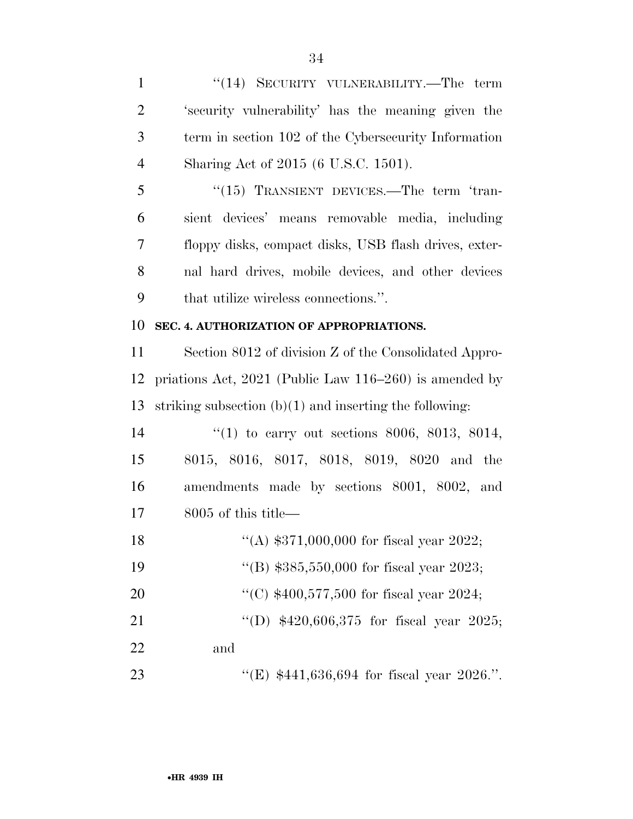1 "(14) SECURITY VULNERABILITY.—The term 'security vulnerability' has the meaning given the term in section 102 of the Cybersecurity Information Sharing Act of 2015 (6 U.S.C. 1501). 5 "(15) TRANSIENT DEVICES.—The term 'tran- sient devices' means removable media, including floppy disks, compact disks, USB flash drives, exter- nal hard drives, mobile devices, and other devices that utilize wireless connections.''. **SEC. 4. AUTHORIZATION OF APPROPRIATIONS.**  Section 8012 of division Z of the Consolidated Appro- priations Act, 2021 (Public Law 116–260) is amended by striking subsection (b)(1) and inserting the following: ''(1) to carry out sections 8006, 8013, 8014, 8015, 8016, 8017, 8018, 8019, 8020 and the amendments made by sections 8001, 8002, and 8005 of this title— 18 "(A) \$371,000,000 for fiscal year 2022; ''(B) \$385,550,000 for fiscal year 2023; ''(C) \$400,577,500 for fiscal year 2024; 21 "(D) \$420,606,375 for fiscal year 2025; and

23 "(E) \$441,636,694 for fiscal year 2026.".